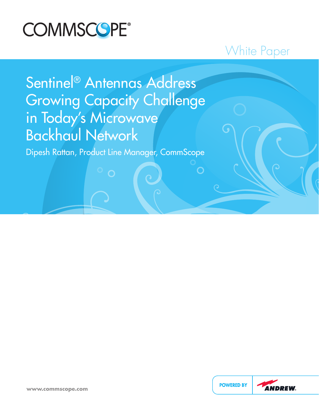

## White Paper

 $\bigcap$ 

# Sentinel® Antennas Address Growing Capacity Challenge in Today's Microwave Backhaul Network

Dipesh Rattan, Product Line Manager, CommScope

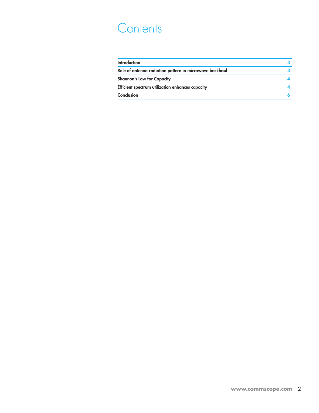## **Contents**

| <b>Introduction</b>                                     |  |
|---------------------------------------------------------|--|
| Role of antenna radiation pattern in microwave backhaul |  |
| <b>Shannon's Law for Capacity</b>                       |  |
| Efficient spectrum utilization enhances capacity        |  |
| Conclusion                                              |  |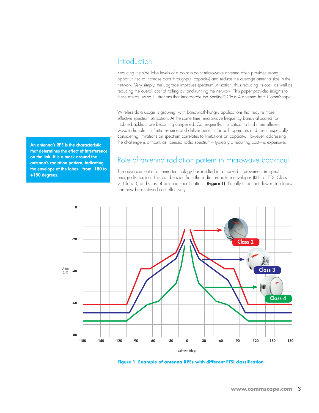### **Introduction**

Reducing the side lobe levels of a point-to-point microwave antenna often provides strong opportunities to increase data throughput (capacity) and reduce the average antenna size in the network. Very simply, the upgrade improves spectrum utilization, thus reducing its cost, as well as reducing the overall cost of rolling out and running the network. This paper provides insights to these effects, using illustrations that incorporate the Sentinel® Class 4 antenna from CommScope.

Wireless data usage is growing, with bandwidth-hungry applications that require more effective spectrum utilization. At the same time, microwave frequency bands allocated for mobile backhaul are becoming congested. Consequently, it is critical to find more efficient ways to handle this finite resource and deliver benefits for both operators and users, especially considering limitations on spectrum correlates to limitations on capacity. However, addressing the challenge is difficult, as licensed radio spectrum—typically a recurring cost—is expensive.

Role of antenna radiation pattern in microwave backhaul

The advancement of antenna technology has resulted in a marked improvement in signal energy distribution. This can be seen from the radiation pattern envelopes (RPE) of ETSI Class 2, Class 3, and Class 4 antenna specifications. (Figure 1). Equally important, lower side lobes can now be achieved cost effectively.



**Figure 1. Example of antenna RPEs with different ETSI classification**

An antenna's RPE is the characteristic that determines the effect of interference on the link. It is a mask around the antenna's radiation pattern, indicating the envelope of the lobes—from -180 to +180 degrees.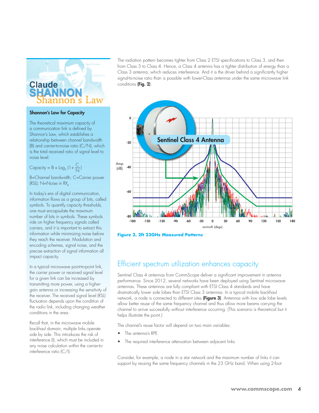

#### Shannon's Law for Capacity

The theoretical maximum capacity of a communication link is defined by Shannon's Law, which establishes a relationship between channel bandwidth (B) and carrier-to-noise ratio (C/N), which is the total received ratio of signal level to noise level:

$$
Capacity = B \times log_2(1 + \frac{C}{N})
$$

B=Channel bandwidth; C=Carrier power (RSL);  $N=N$ oise in  $RX_{p}$ 

In today's era of digital communication, information flows as a group of bits, called symbols. To quantify capacity thresholds, one must encapsulate the maximum number of bits in symbols. These symbols ride on higher frequency signals called carriers, and it is important to extract this information while minimizing noise before they reach the receiver. Modulation and encoding schemes, signal noise, and the precise extraction of signal information all impact capacity.

In a typical microwave point-to-point link, the carrier power or received signal level for a given link can be increased by transmitting more power, using a highergain antenna or increasing the sensitivity of the receiver. The received signal level (RSL) fluctuation depends upon the condition of the radio link, including changing weather conditions in the area.

Recall that, in the microwave mobile backhaul domain, multiple links operate side by side. This introduces the risk of interference (I), which must be included in any noise calculation within the carrier-tointerference ratio (C/I).

The radiation pattern becomes tighter from Class 2 ETSI specifications to Class 3, and then from Class 3 to Class 4. Hence, a Class 4 antenna has a tighter distribution of energy than a Class 3 antenna, which reduces interference. And it is the driver behind a significantly higher signal-to-noise ratio than is possible with lower-Class antennas under the same microwave link conditions (Fig. 2).



**Figure 2. 2ft 23GHz Measured Patterns**

### Efficient spectrum utilization enhances capacity

Sentinel Class 4 antennas from CommScope deliver a significant improvement in antenna performance. Since 2012, several networks have been deployed using Sentinel microwave antennas. These antennas are fully compliant with ETSI Class 4 standards and have dramatically lower side lobes than ETSI Class 3 antennas. In a typical mobile backhaul network, a node is connected to different sites (Figure 3). Antennas with low side lobe levels allow better reuse of the same frequency channel and thus allow more beams carrying the channel to arrive successfully without interference occurring. (This scenario is theoretical but it helps illustrate the point.)

The channel's reuse factor will depend on two main variables:

- The antenna's RPE
- The required interference attenuation between adjacent links

Consider, for example, a node in a star network and the maximum number of links it can support by reusing the same frequency channels in the 23 GHz band. When using 2-foot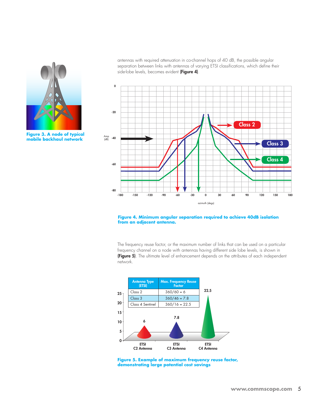

**Figure 3. A node of typical mobile backhaul network**

antennas with required attenuation in co-channel hops of 40 dB, the possible angular separation between links with antennas of varying ETSI classifications, which define their side-lobe levels, becomes evident (Figure 4).



#### **Figure 4. Minimum angular separation required to achieve 40dB isolation from an adjacent antenna.**

The frequency reuse factor, or the maximum number of links that can be used on a particular frequency channel on a node with antennas having different side lobe levels, is shown in (Figure 5). The ultimate level of enhancement depends on the attributes of each independent network.



**Figure 5. Example of maximum frequency reuse factor, demonstrating large potential cost savings**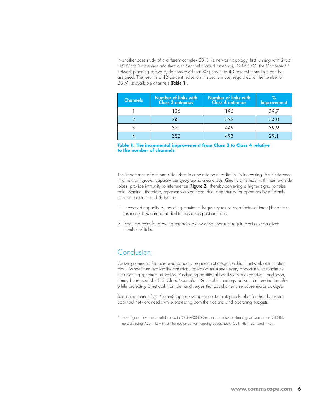In another case study of a different complex 23 GHz network topology, first running with 2-foot ETSI Class 3 antennas and then with Sentinel Class 4 antennas, IQ.Link®XG, the Comsearch® network planning software, demonstrated that 30 percent to 40 percent more links can be assigned. The result is a 42 percent reduction in spectrum use, regardless of the number of 28 MHz available channels (Table 1).

| <b>Channels</b> | Number of links with<br><b>Class 3 antennas</b> | Number of links with<br><b>Class 4 antennas</b> | Improvement |
|-----------------|-------------------------------------------------|-------------------------------------------------|-------------|
|                 | 136                                             | 190                                             | 39.7        |
|                 | 241                                             | 323                                             | 34.0        |
|                 | 321                                             | 449                                             | 39.9        |
|                 | 382                                             |                                                 | 29.1        |

**Table 1. The incremental improvement from Class 3 to Class 4 relative to the number of channels**

The importance of antenna side lobes in a point-to-point radio link is increasing. As interference in a network grows, capacity per geographic area drops. Quality antennas, with their low side lobes, provide immunity to interference (Figure 2), thereby achieving a higher signal-to-noise ratio. Sentinel, therefore, represents a significant dual opportunity for operators by efficiently utilizing spectrum and delivering:

- 1. Increased capacity by boosting maximum frequency re-use by a factor of three (three times as many links can be added in the same spectrum); and
- 2. Reduced costs for growing capacity by lowering spectrum requirements over a given number of links.

### Conclusion

Growing demand for increased capacity requires a strategic backhaul network optimization plan. As spectrum availability constricts, operators must seek every opportunity to maximize their existing spectrum utilization. Purchasing additional bandwidth is expensive—and soon, it may be impossible. ETSI Class 4-compliant Sentinel technology delivers bottom-line benefits while protecting a network from demand surges that could otherwise cause major outages.

Sentinel antennas from CommScope allow operators to strategically plan for their long-term backhaul network needs while protecting both their capital and operating budgets.

\* These figures have been validated with IQ.Link®XG, Comsearch's network planning software, on a 23 GHz network using 753 links with similar radios but with varying capacities of 2E1, 4E1, 8E1 and 17E1.